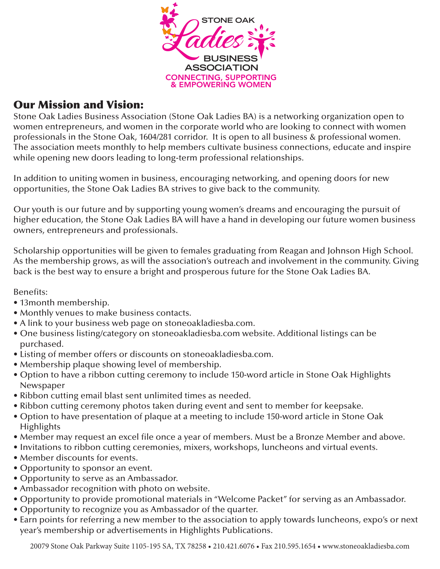

#### Our Mission and Vision:

Stone Oak Ladies Business Association (Stone Oak Ladies BA) is a networking organization open to women entrepreneurs, and women in the corporate world who are looking to connect with women professionals in the Stone Oak, 1604/281 corridor. It is open to all business & professional women. The association meets monthly to help members cultivate business connections, educate and inspire while opening new doors leading to long-term professional relationships.

In addition to uniting women in business, encouraging networking, and opening doors for new opportunities, the Stone Oak Ladies BA strives to give back to the community.

Our youth is our future and by supporting young women's dreams and encouraging the pursuit of higher education, the Stone Oak Ladies BA will have a hand in developing our future women business owners, entrepreneurs and professionals.

Scholarship opportunities will be given to females graduating from Reagan and Johnson High School. As the membership grows, as will the association's outreach and involvement in the community. Giving back is the best way to ensure a bright and prosperous future for the Stone Oak Ladies BA.

Benefits:

- 13month membership.
- Monthly venues to make business contacts.
- A link to your business web page on stoneoakladiesba.com.
- One business listing/category on stoneoakladiesba.com website. Additional listings can be purchased.
- Listing of member offers or discounts on stoneoakladiesba.com.
- Membership plaque showing level of membership.
- Option to have a ribbon cutting ceremony to include 150-word article in Stone Oak Highlights Newspaper
- Ribbon cutting email blast sent unlimited times as needed.
- Ribbon cutting ceremony photos taken during event and sent to member for keepsake.
- Option to have presentation of plaque at a meeting to include 150-word article in Stone Oak **Highlights**
- Member may request an excel file once a year of members. Must be a Bronze Member and above.
- Invitations to ribbon cutting ceremonies, mixers, workshops, luncheons and virtual events.
- Member discounts for events.
- Opportunity to sponsor an event.
- Opportunity to serve as an Ambassador.
- Ambassador recognition with photo on website.
- Opportunity to provide promotional materials in "Welcome Packet" for serving as an Ambassador.
- Opportunity to recognize you as Ambassador of the quarter.
- Earn points for referring a new member to the association to apply towards luncheons, expo's or next year's membership or advertisements in Highlights Publications.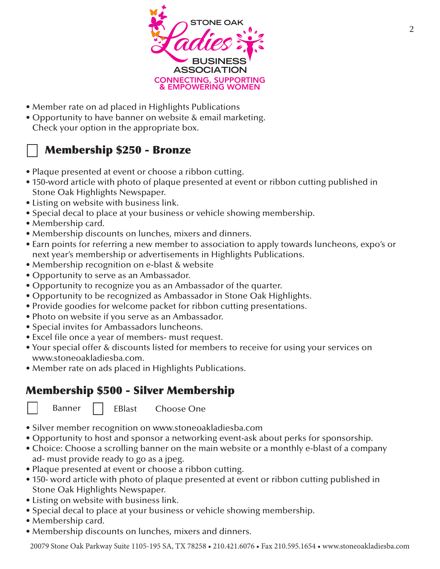

- Member rate on ad placed in Highlights Publications
- Opportunity to have banner on website & email marketing. Check your option in the appropriate box.

## Membership \$250 - Bronze

- Plaque presented at event or choose a ribbon cutting.
- 150-word article with photo of plaque presented at event or ribbon cutting published in Stone Oak Highlights Newspaper.
- Listing on website with business link.
- Special decal to place at your business or vehicle showing membership.
- Membership card.
- Membership discounts on lunches, mixers and dinners.
- Earn points for referring a new member to association to apply towards luncheons, expo's or next year's membership or advertisements in Highlights Publications.
- Membership recognition on e-blast & website
- Opportunity to serve as an Ambassador.
- Opportunity to recognize you as an Ambassador of the quarter.
- Opportunity to be recognized as Ambassador in Stone Oak Highlights.
- Provide goodies for welcome packet for ribbon cutting presentations.
- Photo on website if you serve as an Ambassador.
- Special invites for Ambassadors luncheons.
- Excel file once a year of members- must request.
- Your special offer & discounts listed for members to receive for using your services on www.stoneoakladiesba.com.
- Member rate on ads placed in Highlights Publications.

#### Membership \$500 - Silver Membership

Banner | EBlast Choose One

- Silver member recognition on www.stoneoakladiesba.com
- Opportunity to host and sponsor a networking event-ask about perks for sponsorship.
- Choice: Choose a scrolling banner on the main website or a monthly e-blast of a company ad- must provide ready to go as a jpeg.
- Plaque presented at event or choose a ribbon cutting.
- 150- word article with photo of plaque presented at event or ribbon cutting published in Stone Oak Highlights Newspaper.
- Listing on website with business link.
- Special decal to place at your business or vehicle showing membership.
- Membership card.
- Membership discounts on lunches, mixers and dinners.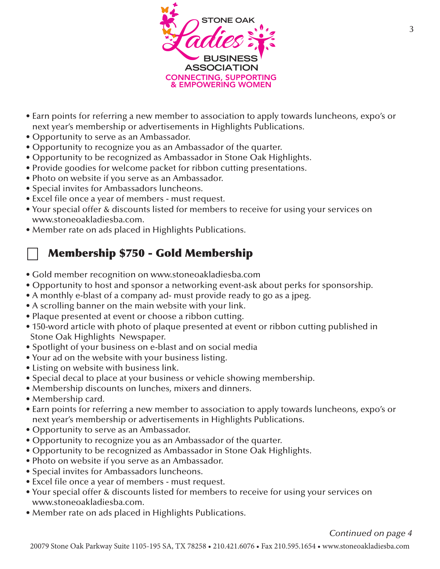

- Earn points for referring a new member to association to apply towards luncheons, expo's or next year's membership or advertisements in Highlights Publications.
- Opportunity to serve as an Ambassador.
- Opportunity to recognize you as an Ambassador of the quarter.
- Opportunity to be recognized as Ambassador in Stone Oak Highlights.
- Provide goodies for welcome packet for ribbon cutting presentations.
- Photo on website if you serve as an Ambassador.
- Special invites for Ambassadors luncheons.
- Excel file once a year of members must request.
- Your special offer & discounts listed for members to receive for using your services on www.stoneoakladiesba.com.
- Member rate on ads placed in Highlights Publications.

## Membership \$750 - Gold Membership

- Gold member recognition on www.stoneoakladiesba.com
- Opportunity to host and sponsor a networking event-ask about perks for sponsorship.
- A monthly e-blast of a company ad- must provide ready to go as a jpeg.
- A scrolling banner on the main website with your link.
- Plaque presented at event or choose a ribbon cutting.
- 150-word article with photo of plaque presented at event or ribbon cutting published in Stone Oak Highlights Newspaper.
- Spotlight of your business on e-blast and on social media
- Your ad on the website with your business listing.
- Listing on website with business link.
- Special decal to place at your business or vehicle showing membership.
- Membership discounts on lunches, mixers and dinners.
- Membership card.
- Earn points for referring a new member to association to apply towards luncheons, expo's or next year's membership or advertisements in Highlights Publications.
- Opportunity to serve as an Ambassador.
- Opportunity to recognize you as an Ambassador of the quarter.
- Opportunity to be recognized as Ambassador in Stone Oak Highlights.
- Photo on website if you serve as an Ambassador.
- Special invites for Ambassadors luncheons.
- Excel file once a year of members must request.
- Your special offer & discounts listed for members to receive for using your services on www.stoneoakladiesba.com.
- Member rate on ads placed in Highlights Publications.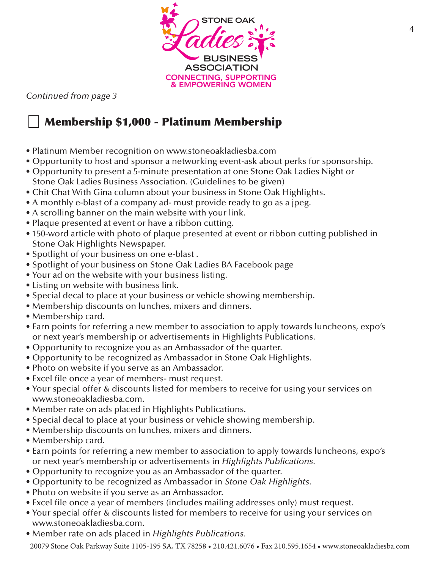

*Continued from page 3*

# Membership \$1,000 - Platinum Membership

- Platinum Member recognition on www.stoneoakladiesba.com
- Opportunity to host and sponsor a networking event-ask about perks for sponsorship.
- Opportunity to present a 5-minute presentation at one Stone Oak Ladies Night or Stone Oak Ladies Business Association. (Guidelines to be given)
- Chit Chat With Gina column about your business in Stone Oak Highlights.
- A monthly e-blast of a company ad- must provide ready to go as a jpeg.
- A scrolling banner on the main website with your link.
- Plaque presented at event or have a ribbon cutting.
- 150-word article with photo of plaque presented at event or ribbon cutting published in Stone Oak Highlights Newspaper.
- Spotlight of your business on one e-blast .
- Spotlight of your business on Stone Oak Ladies BA Facebook page
- Your ad on the website with your business listing.
- Listing on website with business link.
- Special decal to place at your business or vehicle showing membership.
- Membership discounts on lunches, mixers and dinners.
- Membership card.
- Earn points for referring a new member to association to apply towards luncheons, expo's or next year's membership or advertisements in Highlights Publications.
- Opportunity to recognize you as an Ambassador of the quarter.
- Opportunity to be recognized as Ambassador in Stone Oak Highlights.
- Photo on website if you serve as an Ambassador.
- Excel file once a year of members- must request.
- Your special offer & discounts listed for members to receive for using your services on www.stoneoakladiesba.com.
- Member rate on ads placed in Highlights Publications.
- Special decal to place at your business or vehicle showing membership.
- Membership discounts on lunches, mixers and dinners.
- Membership card.
- Earn points for referring a new member to association to apply towards luncheons, expo's or next year's membership or advertisements in *Highlights Publications.*
- Opportunity to recognize you as an Ambassador of the quarter.
- Opportunity to be recognized as Ambassador in *Stone Oak Highlights*.
- Photo on website if you serve as an Ambassador.
- Excel file once a year of members (includes mailing addresses only) must request.
- Your special offer & discounts listed for members to receive for using your services on www.stoneoakladiesba.com.
- Member rate on ads placed in *Highlights Publications.*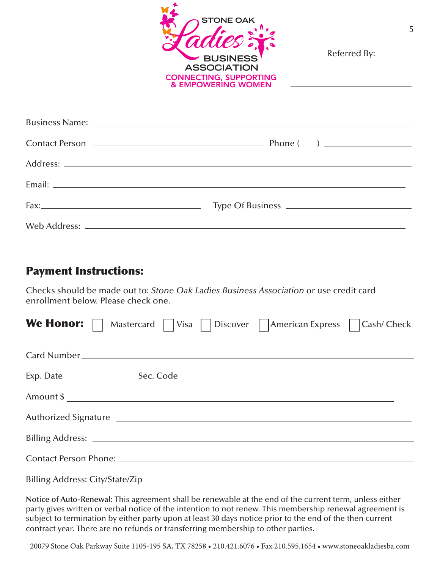

Referred By:

#### Payment Instructions:

Checks should be made out to: *Stone Oak Ladies Business Association* or use credit card enrollment below. Please check one.

| <b>We Honor:</b> $\Box$ Mastercard $\Box$ Visa $\Box$ Discover $\Box$ American Express $\Box$ Cash/ Check |  |
|-----------------------------------------------------------------------------------------------------------|--|
|                                                                                                           |  |
|                                                                                                           |  |
|                                                                                                           |  |
|                                                                                                           |  |
|                                                                                                           |  |
| Contact Person Phone: 2008 Contact Person Phone:                                                          |  |
|                                                                                                           |  |

**Notice of Auto-Renewal:** This agreement shall be renewable at the end of the current term, unless either party gives written or verbal notice of the intention to not renew. This membership renewal agreement is subject to termination by either party upon at least 30 days notice prior to the end of the then current contract year. There are no refunds or transferring membership to other parties.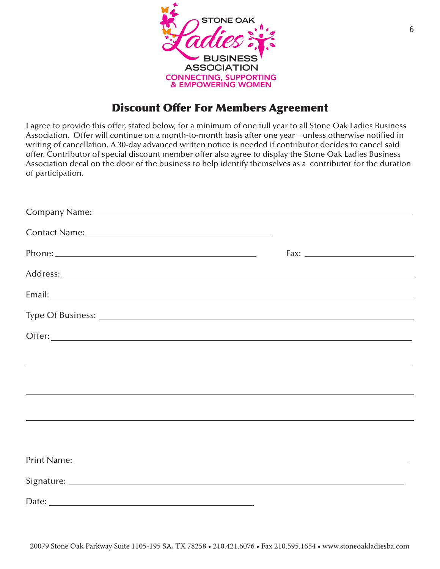

#### Discount Offer For Members Agreement

I agree to provide this offer, stated below, for a minimum of one full year to all Stone Oak Ladies Business Association. Offer will continue on a month-to-month basis after one year – unless otherwise notified in writing of cancellation. A 30-day advanced written notice is needed if contributor decides to cancel said offer. Contributor of special discount member offer also agree to display the Stone Oak Ladies Business Association decal on the door of the business to help identify themselves as a contributor for the duration of participation.

|                       | <u> 1989 - Andrea Santa Andrea Andrea Andrea Andrea Andrea Andrea Andrea Andrea Andrea Andrea Andrea Andrea Andr</u> |
|-----------------------|----------------------------------------------------------------------------------------------------------------------|
|                       |                                                                                                                      |
|                       |                                                                                                                      |
|                       |                                                                                                                      |
|                       |                                                                                                                      |
|                       |                                                                                                                      |
|                       |                                                                                                                      |
| Date: $\qquad \qquad$ |                                                                                                                      |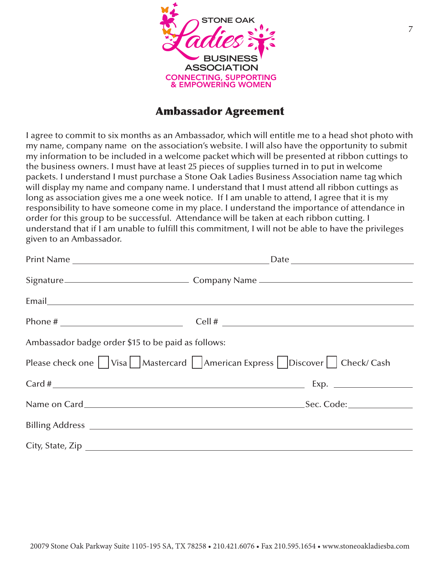

#### Ambassador Agreement

I agree to commit to six months as an Ambassador, which will entitle me to a head shot photo with my name, company name on the association's website. I will also have the opportunity to submit my information to be included in a welcome packet which will be presented at ribbon cuttings to the business owners. I must have at least 25 pieces of supplies turned in to put in welcome packets. I understand I must purchase a Stone Oak Ladies Business Association name tag which will display my name and company name. I understand that I must attend all ribbon cuttings as long as association gives me a one week notice. If I am unable to attend, I agree that it is my responsibility to have someone come in my place. I understand the importance of attendance in order for this group to be successful. Attendance will be taken at each ribbon cutting. I understand that if I am unable to fulfill this commitment, I will not be able to have the privileges given to an Ambassador.

|                                                    | Date and the contract of the contract of the contract of the contract of the contract of the contract of the contract of the contract of the contract of the contract of the contract of the contract of the contract of the c |
|----------------------------------------------------|--------------------------------------------------------------------------------------------------------------------------------------------------------------------------------------------------------------------------------|
|                                                    |                                                                                                                                                                                                                                |
|                                                    |                                                                                                                                                                                                                                |
|                                                    | Phone # $\qquad \qquad \qquad \qquad$ Cell # $\qquad \qquad$                                                                                                                                                                   |
| Ambassador badge order \$15 to be paid as follows: |                                                                                                                                                                                                                                |
|                                                    | Please check one $\Box$ Visa Mastercard $\Box$ American Express $\Box$ Discover $\Box$ Check/ Cash                                                                                                                             |
|                                                    |                                                                                                                                                                                                                                |
|                                                    |                                                                                                                                                                                                                                |
|                                                    |                                                                                                                                                                                                                                |
|                                                    | City, State, Zip                                                                                                                                                                                                               |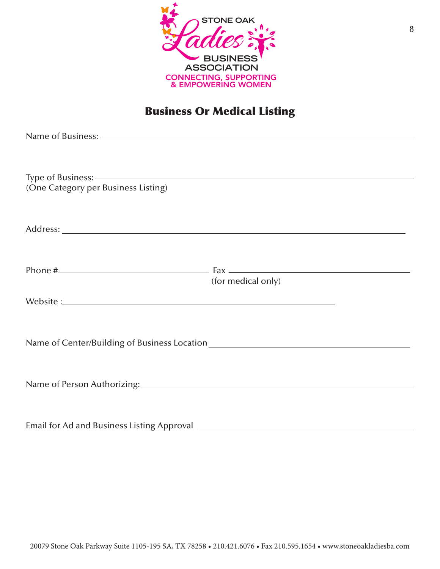

# Business Or Medical Listing

| (One Category per Business Listing)                                              |                                                                                       |
|----------------------------------------------------------------------------------|---------------------------------------------------------------------------------------|
|                                                                                  |                                                                                       |
|                                                                                  |                                                                                       |
|                                                                                  |                                                                                       |
|                                                                                  |                                                                                       |
|                                                                                  |                                                                                       |
|                                                                                  | Phone $\#$ Fax $\frac{1}{\sqrt{2}}$ Fax $\frac{1}{\sqrt{2}}$ Fax $\frac{1}{\sqrt{2}}$ |
|                                                                                  | (for medical only)                                                                    |
| Website: Website:                                                                |                                                                                       |
|                                                                                  |                                                                                       |
|                                                                                  |                                                                                       |
| Name of Center/Building of Business Location ___________________________________ |                                                                                       |
|                                                                                  |                                                                                       |
|                                                                                  |                                                                                       |
|                                                                                  |                                                                                       |
|                                                                                  |                                                                                       |
|                                                                                  |                                                                                       |
| Email for Ad and Business Listing Approval                                       |                                                                                       |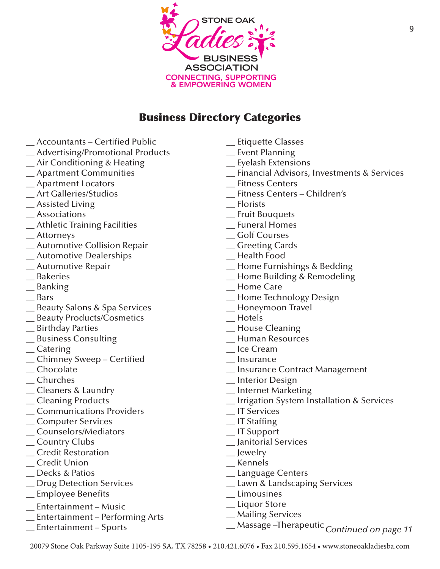

#### Business Directory Categories

- \_\_ Accountants Certified Public
- \_\_ Advertising/Promotional Products
- \_\_ Air Conditioning & Heating
- \_\_ Apartment Communities
- \_\_ Apartment Locators
- \_\_ Art Galleries/Studios
- \_\_ Assisted Living
- \_\_ Associations
- \_\_ Athletic Training Facilities
- \_\_ Attorneys
- \_\_ Automotive Collision Repair
- \_\_ Automotive Dealerships
- \_\_ Automotive Repair
- \_\_ Bakeries
- \_\_ Banking
- \_\_ Bars
- \_\_ Beauty Salons & Spa Services
- \_\_ Beauty Products/Cosmetics
- \_\_ Birthday Parties
- \_\_ Business Consulting
- \_\_ Catering
- \_\_ Chimney Sweep Certified
- \_\_ Chocolate
- \_\_ Churches
- \_\_ Cleaners & Laundry
- \_\_ Cleaning Products
- \_\_ Communications Providers
- \_\_ Computer Services
- \_\_ Counselors/Mediators
- \_\_ Country Clubs
- \_\_ Credit Restoration
- \_\_ Credit Union
- \_\_ Decks & Patios
- \_\_ Drug Detection Services
- \_\_ Employee Benefits
- \_\_ Entertainment Music
- \_\_ Entertainment Performing Arts
- \_\_ Entertainment Sports
- \_\_ Etiquette Classes
- \_\_ Event Planning
- \_\_ Eyelash Extensions
- \_\_ Financial Advisors, Investments & Services
- \_\_ Fitness Centers
- \_\_ Fitness Centers Children's
- \_\_ Florists
- \_\_ Fruit Bouquets
- \_\_ Funeral Homes
- \_\_ Golf Courses
- \_\_ Greeting Cards
- \_\_ Health Food
- \_\_ Home Furnishings & Bedding
- \_\_ Home Building & Remodeling
- \_\_ Home Care
- \_\_ Home Technology Design
- \_\_ Honeymoon Travel
- $\overline{\phantom{a}}$  Hotels
- \_\_ House Cleaning
- \_\_ Human Resources
- \_\_ Ice Cream
- \_\_ Insurance
- \_\_ Insurance Contract Management
- \_\_ Interior Design
- \_\_ Internet Marketing
- \_\_ Irrigation System Installation & Services
- \_\_ IT Services
- \_\_ IT Staffing
- \_\_ IT Support
- \_\_ Janitorial Services
- \_\_ Jewelry
- \_\_ Kennels
- \_\_ Language Centers
- \_\_ Lawn & Landscaping Services
- \_\_ Limousines
- \_\_ Liquor Store
- \_\_ Mailing Services
- \_\_ Massage –Therapeutic *Continued on page 11*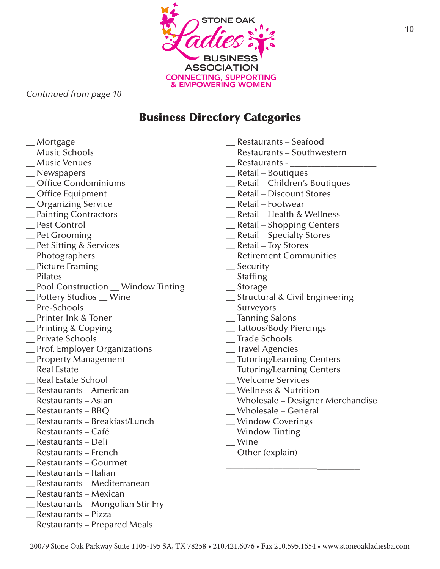

#### *Continued from page 10*

#### Business Directory Categories

- \_\_ Mortgage
- \_\_ Music Schools
- \_\_ Music Venues
- \_\_ Newspapers
- \_\_ Office Condominiums
- \_\_ Office Equipment
- \_\_ Organizing Service
- \_\_ Painting Contractors
- \_\_ Pest Control
- \_\_ Pet Grooming
- \_\_ Pet Sitting & Services
- \_\_ Photographers
- \_\_ Picture Framing
- \_\_ Pilates
- \_\_ Pool Construction \_\_ Window Tinting
- \_\_ Pottery Studios \_\_ Wine
- Pre-Schools
- \_\_ Printer Ink & Toner
- \_\_ Printing & Copying
- \_\_ Private Schools
- \_\_ Prof. Employer Organizations
- \_\_ Property Management
- \_\_ Real Estate
- \_\_ Real Estate School
- \_\_ Restaurants American
- \_\_ Restaurants Asian
- \_\_ Restaurants BBQ
- \_\_ Restaurants Breakfast/Lunch
- \_\_ Restaurants Café
- \_\_ Restaurants Deli
- \_\_ Restaurants French
- \_\_ Restaurants Gourmet
- \_\_ Restaurants Italian
- \_\_ Restaurants Mediterranean
- \_\_ Restaurants Mexican
- \_\_ Restaurants Mongolian Stir Fry
- \_\_ Restaurants Pizza
- \_\_ Restaurants Prepared Meals
- \_\_ Restaurants Seafood
- \_\_ Restaurants Southwestern
- Restaurants -
- \_\_ Retail Boutiques
- \_\_ Retail Children's Boutiques
- \_\_ Retail Discount Stores
- \_\_ Retail Footwear
- \_\_ Retail Health & Wellness
- \_\_ Retail Shopping Centers
- \_\_ Retail Specialty Stores
- \_\_ Retail Toy Stores
- \_\_ Retirement Communities
- \_\_ Security
- \_\_ Staffing
- \_\_ Storage
- \_\_ Structural & Civil Engineering
- \_\_ Surveyors
- \_\_ Tanning Salons
- \_\_ Tattoos/Body Piercings
- \_\_ Trade Schools
- \_\_ Travel Agencies
- \_\_ Tutoring/Learning Centers
- \_\_ Tutoring/Learning Centers
- \_\_ Welcome Services
- \_\_ Wellness & Nutrition
- \_\_ Wholesale Designer Merchandise

\_\_\_\_\_\_\_\_\_\_\_\_\_\_\_\_\_\_\_\_\_\_\_\_\_\_\_\_\_

- \_\_ Wholesale General
- \_\_ Window Coverings
- \_\_ Window Tinting
- \_\_ Wine
- \_\_ Other (explain)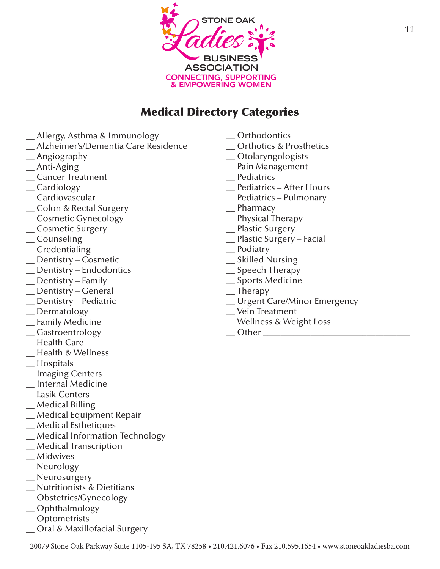

## Medical Directory Categories

- **\_**\_ Allergy, Asthma & Immunology
- \_\_ Alzheimer's/Dementia Care Residence
- $\equiv$  Angiography
- \_\_ Anti-Aging
- \_\_ Cancer Treatment
- \_\_ Cardiology
- \_\_ Cardiovascular
- \_\_ Colon & Rectal Surgery
- \_\_ Cosmetic Gynecology
- \_\_ Cosmetic Surgery
- \_\_ Counseling
- $C$ redentialing
- \_\_ Dentistry Cosmetic
- \_\_ Dentistry Endodontics
- \_\_ Dentistry Family
- \_\_ Dentistry General
- \_\_ Dentistry Pediatric
- \_\_ Dermatology
- \_\_ Family Medicine
- \_\_ Gastroentrology
- \_\_ Health Care
- \_\_ Health & Wellness
- \_\_ Hospitals
- \_\_ Imaging Centers
- \_\_ Internal Medicine
- \_\_ Lasik Centers
- \_\_ Medical Billing
- \_\_ Medical Equipment Repair
- \_\_ Medical Esthetiques
- \_\_ Medical Information Technology
- \_\_ Medical Transcription
- \_\_ Midwives
- \_\_ Neurology
- \_\_ Neurosurgery
- \_\_ Nutritionists & Dietitians
- \_\_ Obstetrics/Gynecology
- \_\_ Ophthalmology
- \_\_ Optometrists
- \_\_ Oral & Maxillofacial Surgery
- \_\_ Orthodontics
- \_\_ Orthotics & Prosthetics
- \_\_ Otolaryngologists
- \_\_ Pain Management
- \_\_ Pediatrics
- \_\_ Pediatrics After Hours
- \_\_ Pediatrics Pulmonary
- \_\_ Pharmacy
- \_\_ Physical Therapy
- \_\_ Plastic Surgery
- \_\_ Plastic Surgery Facial
- \_\_ Podiatry
- \_\_ Skilled Nursing
- \_\_ Speech Therapy
- \_\_ Sports Medicine
- $\equiv$ Therapy
- \_\_ Urgent Care/Minor Emergency
- \_\_ Vein Treatment
- \_\_ Wellness & Weight Loss
- $\Box$  Other  $\Box$